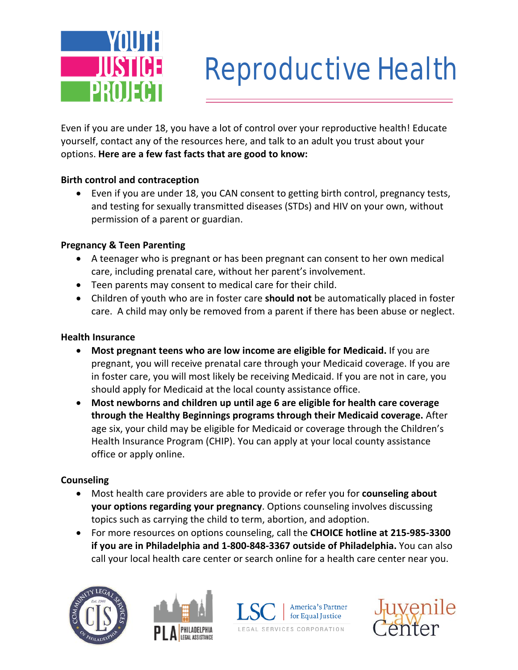

# Reproductive Health

Even if you are under 18, you have a lot of control over your reproductive health! Educate yourself, contact any of the resources here, and talk to an adult you trust about your options. **Here are a few fast facts that are good to know:**

### **Birth control and contraception**

• Even if you are under 18, you CAN consent to getting birth control, pregnancy tests, and testing for sexually transmitted diseases (STDs) and HIV on your own, without permission of a parent or guardian.

#### **Pregnancy & Teen Parenting**

- A teenager who is pregnant or has been pregnant can consent to her own medical care, including prenatal care, without her parent's involvement.
- Teen parents may consent to medical care for their child.
- Children of youth who are in foster care **should not** be automatically placed in foster care. A child may only be removed from a parent if there has been abuse or neglect.

#### **Health Insurance**

- **Most pregnant teens who are low income are eligible for Medicaid.** If you are pregnant, you will receive prenatal care through your Medicaid coverage. If you are in foster care, you will most likely be receiving Medicaid. If you are not in care, you should apply for Medicaid at the local county assistance office.
- **Most newborns and children up until age 6 are eligible for health care coverage through the Healthy Beginnings programs through their Medicaid coverage.** After age six, your child may be eligible for Medicaid or coverage through the Children's Health Insurance Program (CHIP). You can apply at your local county assistance office or apply online.

#### **Counseling**

- Most health care providers are able to provide or refer you for **counseling about your options regarding your pregnancy**. Options counseling involves discussing topics such as carrying the child to term, abortion, and adoption.
- For more resources on options counseling, call the **CHOICE hotline at 215-985-3300 if you are in Philadelphia and 1-800-848-3367 outside of Philadelphia.** You can also call your local health care center or search online for a health care center near you.